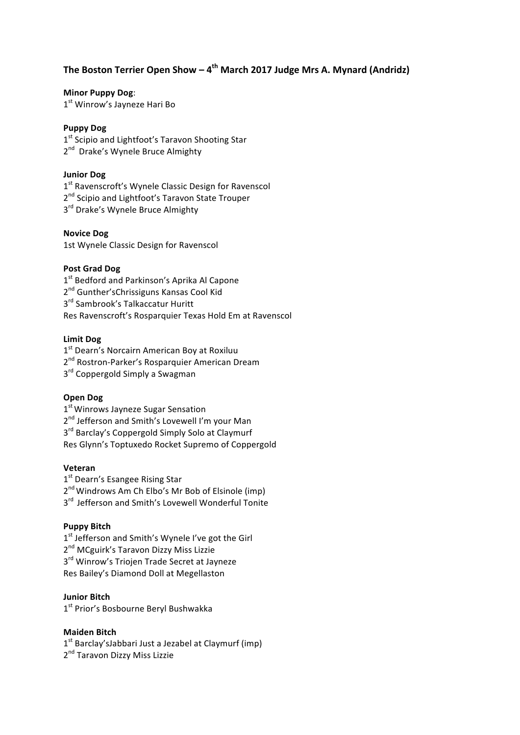# The Boston Terrier Open Show – 4<sup>th</sup> March 2017 Judge Mrs A. Mynard (Andridz)

### **Minor Puppy Dog:**

1<sup>st</sup> Winrow's Jayneze Hari Bo

### **Puppy Dog**

1<sup>st</sup> Scipio and Lightfoot's Taravon Shooting Star 2<sup>nd</sup> Drake's Wynele Bruce Almighty

### **Junior Dog**

1<sup>st</sup> Ravenscroft's Wynele Classic Design for Ravenscol 2<sup>nd</sup> Scipio and Lightfoot's Taravon State Trouper 3<sup>rd</sup> Drake's Wynele Bruce Almighty

#### **Novice Dog**

1st Wynele Classic Design for Ravenscol

#### **Post Grad Dog**

1<sup>st</sup> Bedford and Parkinson's Aprika Al Capone 2<sup>nd</sup> Gunther'sChrissiguns Kansas Cool Kid 3<sup>rd</sup> Sambrook's Talkaccatur Huritt Res Ravenscroft's Rosparquier Texas Hold Em at Ravenscol

### **Limit Dog**

1<sup>st</sup> Dearn's Norcairn American Boy at Roxiluu

2<sup>nd</sup> Rostron-Parker's Rosparquier American Dream

3<sup>rd</sup> Coppergold Simply a Swagman

### **Open Dog**

1<sup>st</sup> Winrows Jayneze Sugar Sensation 2<sup>nd</sup> Jefferson and Smith's Lovewell I'm your Man 3<sup>rd</sup> Barclay's Coppergold Simply Solo at Claymurf Res Glynn's Toptuxedo Rocket Supremo of Coppergold

#### **Veteran**

1<sup>st</sup> Dearn's Esangee Rising Star

 $2^{nd}$  Windrows Am Ch Elbo's Mr Bob of Elsinole (imp)

3<sup>rd</sup> Jefferson and Smith's Lovewell Wonderful Tonite

### **Puppy Bitch**

1<sup>st</sup> Jefferson and Smith's Wynele I've got the Girl 2<sup>nd</sup> MCguirk's Taravon Dizzy Miss Lizzie  $3<sup>rd</sup>$  Winrow's Triojen Trade Secret at Jayneze Res Bailey's Diamond Doll at Megellaston

### **Junior Bitch**

1<sup>st</sup> Prior's Bosbourne Beryl Bushwakka

#### **Maiden Bitch**

 $1<sup>st</sup>$  Barclay'sJabbari Just a Jezabel at Claymurf (imp)

2<sup>nd</sup> Taravon Dizzy Miss Lizzie